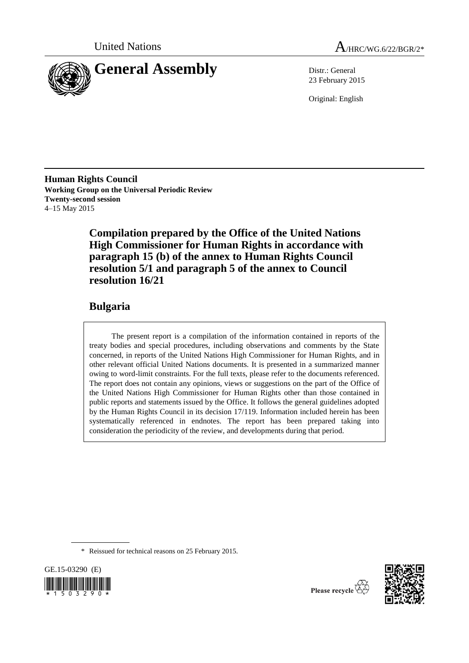



23 February 2015

Original: English

**Human Rights Council Working Group on the Universal Periodic Review Twenty-second session** 4–15 May 2015

> **Compilation prepared by the Office of the United Nations High Commissioner for Human Rights in accordance with paragraph 15 (b) of the annex to Human Rights Council resolution 5/1 and paragraph 5 of the annex to Council resolution 16/21**

## **Bulgaria**

The present report is a compilation of the information contained in reports of the treaty bodies and special procedures, including observations and comments by the State concerned, in reports of the United Nations High Commissioner for Human Rights, and in other relevant official United Nations documents. It is presented in a summarized manner owing to word-limit constraints. For the full texts, please refer to the documents referenced. The report does not contain any opinions, views or suggestions on the part of the Office of the United Nations High Commissioner for Human Rights other than those contained in public reports and statements issued by the Office. It follows the general guidelines adopted by the Human Rights Council in its decision 17/119. Information included herein has been systematically referenced in endnotes. The report has been prepared taking into consideration the periodicity of the review, and developments during that period.

\* Reissued for technical reasons on 25 February 2015.

GE.15-03290 (E)  $503290$ 



Please recycle  $\overleftrightarrow{C}$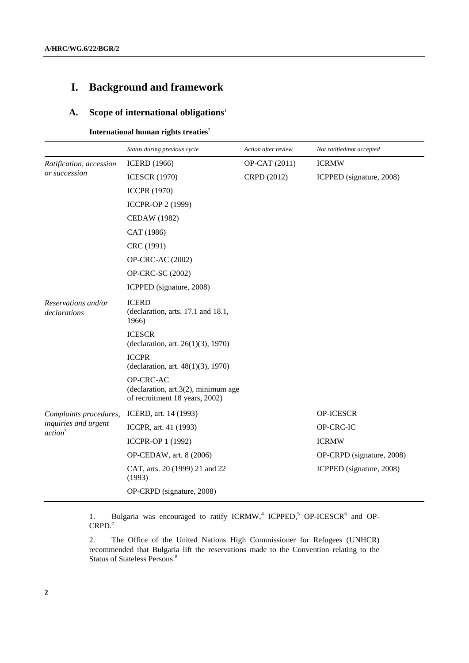# **I. Background and framework**

## **A. Scope of international obligations**<sup>1</sup>

**International human rights treaties<sup>2</sup>** 

|                                                                       | Status during previous cycle                                                          | Action after review | Not ratified/not accepted |
|-----------------------------------------------------------------------|---------------------------------------------------------------------------------------|---------------------|---------------------------|
| Ratification, accession                                               | <b>ICERD</b> (1966)                                                                   | OP-CAT (2011)       | <b>ICRMW</b>              |
| or succession                                                         | <b>ICESCR (1970)</b>                                                                  | CRPD (2012)         | ICPPED (signature, 2008)  |
|                                                                       | <b>ICCPR (1970)</b>                                                                   |                     |                           |
|                                                                       | ICCPR-OP 2 (1999)                                                                     |                     |                           |
|                                                                       | <b>CEDAW</b> (1982)                                                                   |                     |                           |
|                                                                       | CAT (1986)                                                                            |                     |                           |
|                                                                       | CRC (1991)                                                                            |                     |                           |
|                                                                       | OP-CRC-AC (2002)                                                                      |                     |                           |
|                                                                       | OP-CRC-SC (2002)                                                                      |                     |                           |
|                                                                       | ICPPED (signature, 2008)                                                              |                     |                           |
| Reservations and/or<br>declarations                                   | <b>ICERD</b><br>(declaration, arts. 17.1 and 18.1,<br>1966)                           |                     |                           |
|                                                                       | <b>ICESCR</b><br>(declaration, art. 26(1)(3), 1970)                                   |                     |                           |
|                                                                       | <b>ICCPR</b><br>(declaration, art. 48(1)(3), 1970)                                    |                     |                           |
|                                                                       | OP-CRC-AC<br>(declaration, $art.3(2)$ , minimum age<br>of recruitment 18 years, 2002) |                     |                           |
| Complaints procedures,<br>inquiries and urgent<br>action <sup>3</sup> | ICERD, art. 14 (1993)                                                                 |                     | <b>OP-ICESCR</b>          |
|                                                                       | ICCPR, art. 41 (1993)                                                                 |                     | OP-CRC-IC                 |
|                                                                       | ICCPR-OP 1 (1992)                                                                     |                     | <b>ICRMW</b>              |
|                                                                       | OP-CEDAW, art. 8 (2006)                                                               |                     | OP-CRPD (signature, 2008) |
|                                                                       | CAT, arts. 20 (1999) 21 and 22<br>(1993)                                              |                     | ICPPED (signature, 2008)  |
|                                                                       | OP-CRPD (signature, 2008)                                                             |                     |                           |

1. Bulgaria was encouraged to ratify ICRMW,<sup>4</sup> ICPPED,<sup>5</sup> OP-ICESCR<sup>6</sup> and OP-CRPD. 7

2. The Office of the United Nations High Commissioner for Refugees (UNHCR) recommended that Bulgaria lift the reservations made to the Convention relating to the Status of Stateless Persons. 8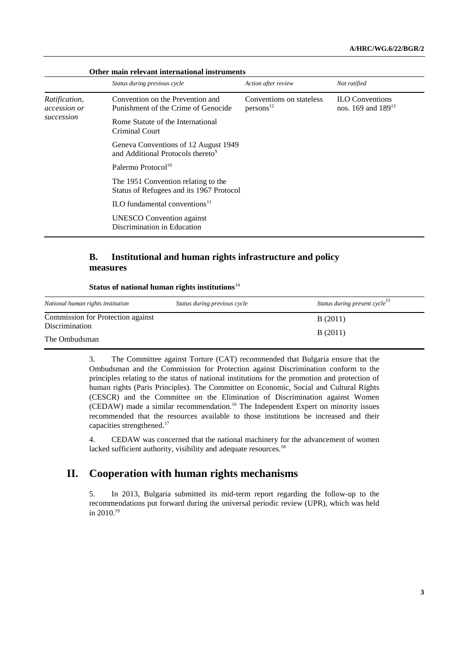| Other main relevant international instruments |                                                                                       |                                                   |                                                   |
|-----------------------------------------------|---------------------------------------------------------------------------------------|---------------------------------------------------|---------------------------------------------------|
|                                               | Status during previous cycle                                                          | Action after review                               | Not ratified                                      |
| Ratification,<br>accession or                 | Convention on the Prevention and<br>Punishment of the Crime of Genocide               | Conventions on stateless<br>persons <sup>12</sup> | <b>ILO</b> Conventions<br>nos. 169 and $189^{13}$ |
| succession                                    | Rome Statute of the International<br>Criminal Court                                   |                                                   |                                                   |
|                                               | Geneva Conventions of 12 August 1949<br>and Additional Protocols thereto <sup>9</sup> |                                                   |                                                   |
|                                               | Palermo Protocol <sup>10</sup>                                                        |                                                   |                                                   |
|                                               | The 1951 Convention relating to the<br>Status of Refugees and its 1967 Protocol       |                                                   |                                                   |
|                                               | ILO fundamental conventions $11$                                                      |                                                   |                                                   |
|                                               | <b>UNESCO</b> Convention against<br>Discrimination in Education                       |                                                   |                                                   |

## **B. Institutional and human rights infrastructure and policy measures**

#### **Status of national human rights institutions**<sup>14</sup>

| National human rights institution                          | Status during previous cycle | Status during present cycle <sup>15</sup> |
|------------------------------------------------------------|------------------------------|-------------------------------------------|
| Commission for Protection against<br><b>Discrimination</b> |                              | B(2011)                                   |
| The Ombudsman                                              |                              | B(2011)                                   |

3. The Committee against Torture (CAT) recommended that Bulgaria ensure that the Ombudsman and the Commission for Protection against Discrimination conform to the principles relating to the status of national institutions for the promotion and protection of human rights (Paris Principles). The Committee on Economic, Social and Cultural Rights (CESCR) and the Committee on the Elimination of Discrimination against Women (CEDAW) made a similar recommendation.<sup>16</sup> The Independent Expert on minority issues recommended that the resources available to those institutions be increased and their capacities strengthened. 17

4. CEDAW was concerned that the national machinery for the advancement of women lacked sufficient authority, visibility and adequate resources.<sup>18</sup>

## **II. Cooperation with human rights mechanisms**

5. In 2013, Bulgaria submitted its mid-term report regarding the follow-up to the recommendations put forward during the universal periodic review (UPR), which was held in 2010. 19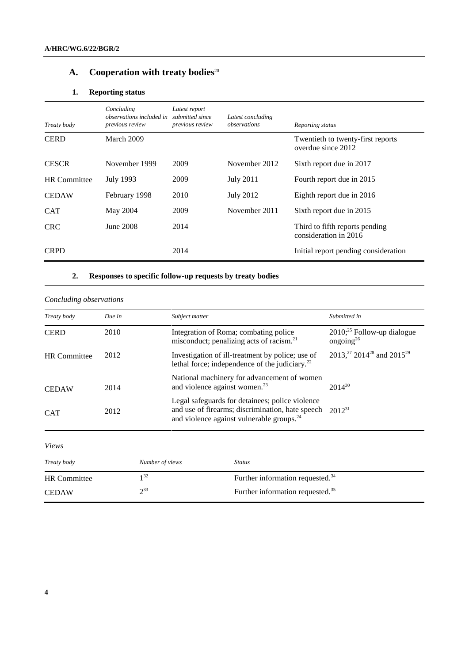# A. Cooperation with treaty bodies<sup>20</sup>

## **1. Reporting status**

| Treaty body         | Concluding<br>observations included in<br>previous review | Latest report<br>submitted since<br>previous review | Latest concluding<br>observations | Reporting status                                        |
|---------------------|-----------------------------------------------------------|-----------------------------------------------------|-----------------------------------|---------------------------------------------------------|
| <b>CERD</b>         | March 2009                                                |                                                     |                                   | Twentieth to twenty-first reports<br>overdue since 2012 |
| <b>CESCR</b>        | November 1999                                             | 2009                                                | November 2012                     | Sixth report due in 2017                                |
| <b>HR</b> Committee | July 1993                                                 | 2009                                                | July 2011                         | Fourth report due in 2015                               |
| <b>CEDAW</b>        | February 1998                                             | 2010                                                | <b>July 2012</b>                  | Eighth report due in 2016                               |
| <b>CAT</b>          | May 2004                                                  | 2009                                                | November 2011                     | Sixth report due in 2015                                |
| <b>CRC</b>          | June 2008                                                 | 2014                                                |                                   | Third to fifth reports pending<br>consideration in 2016 |
| <b>CRPD</b>         |                                                           | 2014                                                |                                   | Initial report pending consideration                    |

## **2. Responses to specific follow-up requests by treaty bodies**

| Concluding observations |        |                                                                                                                                                              |                                                               |
|-------------------------|--------|--------------------------------------------------------------------------------------------------------------------------------------------------------------|---------------------------------------------------------------|
| Treaty body             | Due in | Subject matter                                                                                                                                               | Submitted in                                                  |
| <b>CERD</b>             | 2010   | Integration of Roma; combating police<br>misconduct; penalizing acts of racism. <sup>21</sup>                                                                | $2010$ <sup>25</sup> Follow-up dialogue<br>ongoing $^{26}$    |
| <b>HR</b> Committee     | 2012   | Investigation of ill-treatment by police; use of<br>lethal force; independence of the judiciary. <sup>22</sup>                                               | 2013, <sup>27</sup> 2014 <sup>28</sup> and 2015 <sup>29</sup> |
| <b>CEDAW</b>            | 2014   | National machinery for advancement of women<br>and violence against women. <sup>23</sup>                                                                     | $2014^{30}$                                                   |
| <b>CAT</b>              | 2012   | Legal safeguards for detainees; police violence<br>and use of firearms; discrimination, hate speech<br>and violence against vulnerable groups. <sup>24</sup> | $2012^{31}$                                                   |

*Views*

| Treaty body         | Number of views | Status                                       |
|---------------------|-----------------|----------------------------------------------|
| <b>HR</b> Committee | 32 ا            | Further information requested. <sup>34</sup> |
| <b>CEDAW</b>        | 233             | Further information requested. <sup>35</sup> |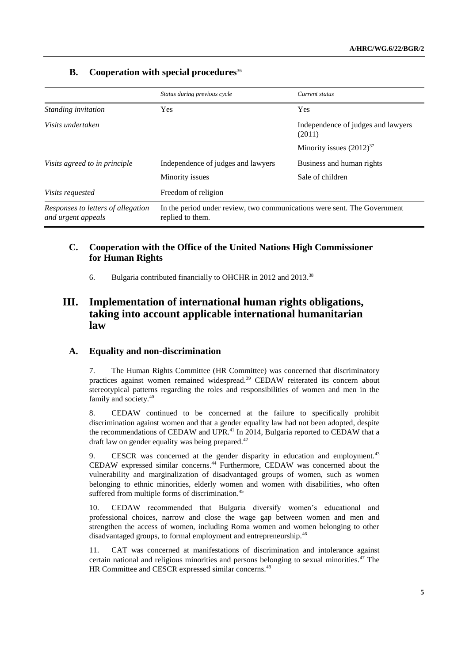|                                                          | Status during previous cycle                                                                 | Current status                               |
|----------------------------------------------------------|----------------------------------------------------------------------------------------------|----------------------------------------------|
| Standing invitation                                      | <b>Yes</b>                                                                                   | Yes                                          |
| Visits undertaken                                        |                                                                                              | Independence of judges and lawyers<br>(2011) |
|                                                          |                                                                                              | Minority issues $(2012)^{37}$                |
| Visits agreed to in principle                            | Independence of judges and lawyers                                                           | Business and human rights                    |
|                                                          | Minority issues                                                                              | Sale of children                             |
| <i>Visits requested</i>                                  | Freedom of religion                                                                          |                                              |
| Responses to letters of allegation<br>and urgent appeals | In the period under review, two communications were sent. The Government<br>replied to them. |                                              |

## **B. Cooperation with special procedures**<sup>36</sup>

## **C. Cooperation with the Office of the United Nations High Commissioner for Human Rights**

6. Bulgaria contributed financially to OHCHR in 2012 and 2013.<sup>38</sup>

## **III. Implementation of international human rights obligations, taking into account applicable international humanitarian law**

### **A. Equality and non-discrimination**

7. The Human Rights Committee (HR Committee) was concerned that discriminatory practices against women remained widespread.<sup>39</sup> CEDAW reiterated its concern about stereotypical patterns regarding the roles and responsibilities of women and men in the family and society.<sup>40</sup>

8. CEDAW continued to be concerned at the failure to specifically prohibit discrimination against women and that a gender equality law had not been adopted, despite the recommendations of CEDAW and UPR.<sup>41</sup> In 2014, Bulgaria reported to CEDAW that a draft law on gender equality was being prepared.<sup>42</sup>

9. CESCR was concerned at the gender disparity in education and employment.<sup>43</sup> CEDAW expressed similar concerns. <sup>44</sup> Furthermore, CEDAW was concerned about the vulnerability and marginalization of disadvantaged groups of women, such as women belonging to ethnic minorities, elderly women and women with disabilities, who often suffered from multiple forms of discrimination.<sup>45</sup>

10. CEDAW recommended that Bulgaria diversify women's educational and professional choices, narrow and close the wage gap between women and men and strengthen the access of women, including Roma women and women belonging to other disadvantaged groups, to formal employment and entrepreneurship.<sup>46</sup>

11. CAT was concerned at manifestations of discrimination and intolerance against certain national and religious minorities and persons belonging to sexual minorities.<sup>47</sup> The HR Committee and CESCR expressed similar concerns.<sup>48</sup>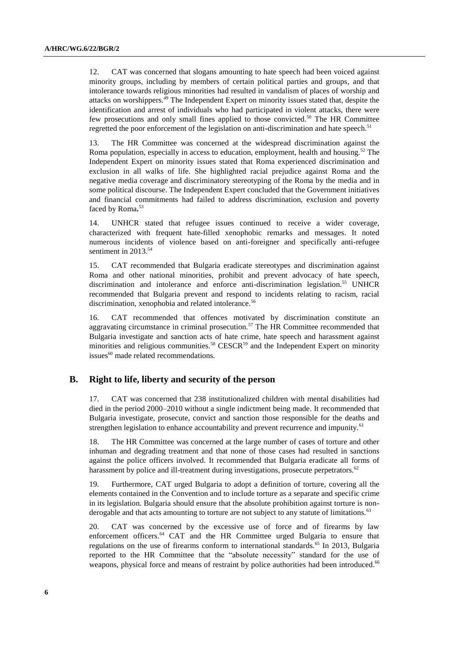12. CAT was concerned that slogans amounting to hate speech had been voiced against minority groups, including by members of certain political parties and groups, and that intolerance towards religious minorities had resulted in vandalism of places of worship and attacks on worshippers.<sup>49</sup> The Independent Expert on minority issues stated that, despite the identification and arrest of individuals who had participated in violent attacks, there were few prosecutions and only small fines applied to those convicted.<sup>50</sup> The HR Committee regretted the poor enforcement of the legislation on anti-discrimination and hate speech.<sup>51</sup>

13. The HR Committee was concerned at the widespread discrimination against the Roma population, especially in access to education, employment, health and housing.<sup>52</sup> The Independent Expert on minority issues stated that Roma experienced discrimination and exclusion in all walks of life. She highlighted racial prejudice against Roma and the negative media coverage and discriminatory stereotyping of the Roma by the media and in some political discourse. The Independent Expert concluded that the Government initiatives and financial commitments had failed to address discrimination, exclusion and poverty faced by Roma**.** 53

14. UNHCR stated that refugee issues continued to receive a wider coverage, characterized with frequent hate-filled xenophobic remarks and messages. It noted numerous incidents of violence based on anti-foreigner and specifically anti-refugee sentiment in 2013.<sup>54</sup>

15. CAT recommended that Bulgaria eradicate stereotypes and discrimination against Roma and other national minorities, prohibit and prevent advocacy of hate speech, discrimination and intolerance and enforce anti-discrimination legislation.<sup>55</sup> UNHCR recommended that Bulgaria prevent and respond to incidents relating to racism, racial discrimination, xenophobia and related intolerance.<sup>56</sup>

16. CAT recommended that offences motivated by discrimination constitute an aggravating circumstance in criminal prosecution.<sup>57</sup> The HR Committee recommended that Bulgaria investigate and sanction acts of hate crime, hate speech and harassment against minorities and religious communities.<sup>58</sup> CESCR<sup>59</sup> and the Independent Expert on minority issues<sup>60</sup> made related recommendations.

#### **B. Right to life, liberty and security of the person**

17. CAT was concerned that 238 institutionalized children with mental disabilities had died in the period 2000–2010 without a single indictment being made. It recommended that Bulgaria investigate, prosecute, convict and sanction those responsible for the deaths and strengthen legislation to enhance accountability and prevent recurrence and impunity.<sup>61</sup>

18. The HR Committee was concerned at the large number of cases of torture and other inhuman and degrading treatment and that none of those cases had resulted in sanctions against the police officers involved. It recommended that Bulgaria eradicate all forms of harassment by police and ill-treatment during investigations, prosecute perpetrators.<sup>62</sup>

19. Furthermore, CAT urged Bulgaria to adopt a definition of torture, covering all the elements contained in the Convention and to include torture as a separate and specific crime in its legislation. Bulgaria should ensure that the absolute prohibition against torture is nonderogable and that acts amounting to torture are not subject to any statute of limitations.<sup>63</sup>

20. CAT was concerned by the excessive use of force and of firearms by law enforcement officers.<sup>64</sup> CAT and the HR Committee urged Bulgaria to ensure that regulations on the use of firearms conform to international standards.<sup>65</sup> In 2013, Bulgaria reported to the HR Committee that the "absolute necessity" standard for the use of weapons, physical force and means of restraint by police authorities had been introduced.<sup>66</sup>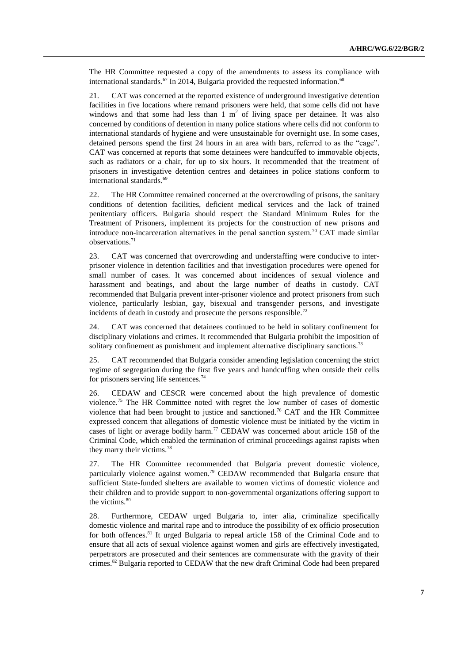The HR Committee requested a copy of the amendments to assess its compliance with international standards.<sup>67</sup> In 2014, Bulgaria provided the requested information.<sup>68</sup>

21. CAT was concerned at the reported existence of underground investigative detention facilities in five locations where remand prisoners were held, that some cells did not have windows and that some had less than  $1 \text{ m}^2$  of living space per detainee. It was also concerned by conditions of detention in many police stations where cells did not conform to international standards of hygiene and were unsustainable for overnight use. In some cases, detained persons spend the first 24 hours in an area with bars, referred to as the "cage". CAT was concerned at reports that some detainees were handcuffed to immovable objects, such as radiators or a chair, for up to six hours. It recommended that the treatment of prisoners in investigative detention centres and detainees in police stations conform to international standards.<sup>69</sup>

22. The HR Committee remained concerned at the overcrowding of prisons, the sanitary conditions of detention facilities, deficient medical services and the lack of trained penitentiary officers. Bulgaria should respect the Standard Minimum Rules for the Treatment of Prisoners, implement its projects for the construction of new prisons and introduce non-incarceration alternatives in the penal sanction system.<sup>70</sup> CAT made similar observations. 71

23. CAT was concerned that overcrowding and understaffing were conducive to interprisoner violence in detention facilities and that investigation procedures were opened for small number of cases. It was concerned about incidences of sexual violence and harassment and beatings, and about the large number of deaths in custody. CAT recommended that Bulgaria prevent inter-prisoner violence and protect prisoners from such violence, particularly lesbian, gay, bisexual and transgender persons, and investigate incidents of death in custody and prosecute the persons responsible.<sup>72</sup>

24. CAT was concerned that detainees continued to be held in solitary confinement for disciplinary violations and crimes. It recommended that Bulgaria prohibit the imposition of solitary confinement as punishment and implement alternative disciplinary sanctions.<sup>73</sup>

25. CAT recommended that Bulgaria consider amending legislation concerning the strict regime of segregation during the first five years and handcuffing when outside their cells for prisoners serving life sentences.<sup>74</sup>

26. CEDAW and CESCR were concerned about the high prevalence of domestic violence.<sup>75</sup> The HR Committee noted with regret the low number of cases of domestic violence that had been brought to justice and sanctioned.<sup>76</sup> CAT and the HR Committee expressed concern that allegations of domestic violence must be initiated by the victim in cases of light or average bodily harm.<sup>77</sup> CEDAW was concerned about article 158 of the Criminal Code, which enabled the termination of criminal proceedings against rapists when they marry their victims.<sup>78</sup>

27. The HR Committee recommended that Bulgaria prevent domestic violence, particularly violence against women.<sup>79</sup> CEDAW recommended that Bulgaria ensure that sufficient State-funded shelters are available to women victims of domestic violence and their children and to provide support to non-governmental organizations offering support to the victims.<sup>80</sup>

28. Furthermore, CEDAW urged Bulgaria to, inter alia, criminalize specifically domestic violence and marital rape and to introduce the possibility of ex officio prosecution for both offences.<sup>81</sup> It urged Bulgaria to repeal article 158 of the Criminal Code and to ensure that all acts of sexual violence against women and girls are effectively investigated, perpetrators are prosecuted and their sentences are commensurate with the gravity of their crimes.<sup>82</sup> Bulgaria reported to CEDAW that the new draft Criminal Code had been prepared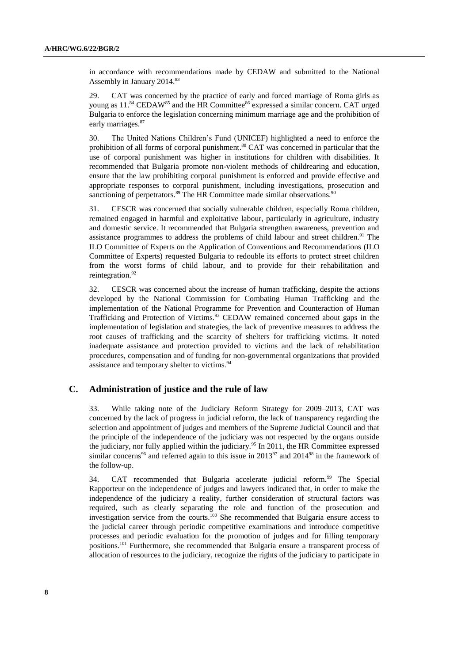in accordance with recommendations made by CEDAW and submitted to the National Assembly in January 2014.<sup>83</sup>

29. CAT was concerned by the practice of early and forced marriage of Roma girls as young as  $11.^{84}$  CEDAW<sup>85</sup> and the HR Committee<sup>86</sup> expressed a similar concern. CAT urged Bulgaria to enforce the legislation concerning minimum marriage age and the prohibition of early marriages.<sup>87</sup>

30. The United Nations Children's Fund (UNICEF) highlighted a need to enforce the prohibition of all forms of corporal punishment. <sup>88</sup> CAT was concerned in particular that the use of corporal punishment was higher in institutions for children with disabilities. It recommended that Bulgaria promote non-violent methods of childrearing and education, ensure that the law prohibiting corporal punishment is enforced and provide effective and appropriate responses to corporal punishment, including investigations, prosecution and sanctioning of perpetrators.<sup>89</sup> The HR Committee made similar observations.<sup>90</sup>

31. CESCR was concerned that socially vulnerable children, especially Roma children, remained engaged in harmful and exploitative labour, particularly in agriculture, industry and domestic service. It recommended that Bulgaria strengthen awareness, prevention and assistance programmes to address the problems of child labour and street children.<sup>91</sup> The ILO Committee of Experts on the Application of Conventions and Recommendations (ILO Committee of Experts) requested Bulgaria to redouble its efforts to protect street children from the worst forms of child labour, and to provide for their rehabilitation and reintegration.<sup>92</sup>

32. CESCR was concerned about the increase of human trafficking, despite the actions developed by the National Commission for Combating Human Trafficking and the implementation of the National Programme for Prevention and Counteraction of Human Trafficking and Protection of Victims.<sup>93</sup> CEDAW remained concerned about gaps in the implementation of legislation and strategies, the lack of preventive measures to address the root causes of trafficking and the scarcity of shelters for trafficking victims. It noted inadequate assistance and protection provided to victims and the lack of rehabilitation procedures, compensation and of funding for non-governmental organizations that provided assistance and temporary shelter to victims.<sup>94</sup>

#### **C. Administration of justice and the rule of law**

33. While taking note of the Judiciary Reform Strategy for 2009–2013, CAT was concerned by the lack of progress in judicial reform, the lack of transparency regarding the selection and appointment of judges and members of the Supreme Judicial Council and that the principle of the independence of the judiciary was not respected by the organs outside the judiciary, nor fully applied within the judiciary.<sup>95</sup> In 2011, the HR Committee expressed similar concerns<sup>96</sup> and referred again to this issue in  $2013^{97}$  and  $2014^{98}$  in the framework of the follow-up.

34. CAT recommended that Bulgaria accelerate judicial reform.<sup>99</sup> The Special Rapporteur on the independence of judges and lawyers indicated that, in order to make the independence of the judiciary a reality, further consideration of structural factors was required, such as clearly separating the role and function of the prosecution and investigation service from the courts.<sup>100</sup> She recommended that Bulgaria ensure access to the judicial career through periodic competitive examinations and introduce competitive processes and periodic evaluation for the promotion of judges and for filling temporary positions.<sup>101</sup> Furthermore, she recommended that Bulgaria ensure a transparent process of allocation of resources to the judiciary, recognize the rights of the judiciary to participate in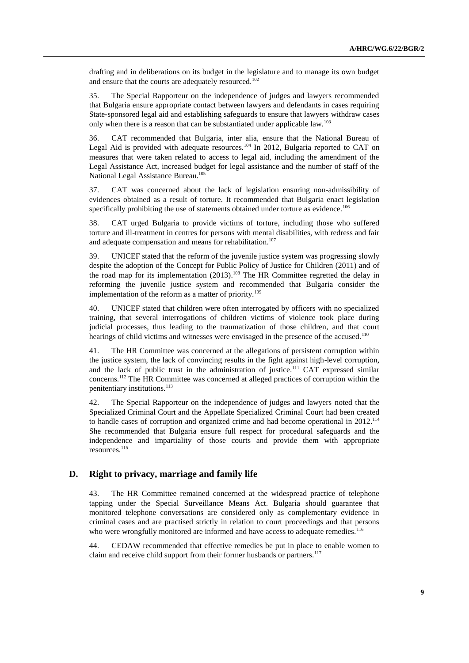drafting and in deliberations on its budget in the legislature and to manage its own budget and ensure that the courts are adequately resourced.<sup>102</sup>

35. The Special Rapporteur on the independence of judges and lawyers recommended that Bulgaria ensure appropriate contact between lawyers and defendants in cases requiring State-sponsored legal aid and establishing safeguards to ensure that lawyers withdraw cases only when there is a reason that can be substantiated under applicable law.<sup>103</sup>

36. CAT recommended that Bulgaria, inter alia, ensure that the National Bureau of Legal Aid is provided with adequate resources.<sup>104</sup> In 2012, Bulgaria reported to CAT on measures that were taken related to access to legal aid, including the amendment of the Legal Assistance Act, increased budget for legal assistance and the number of staff of the National Legal Assistance Bureau.<sup>105</sup>

37. CAT was concerned about the lack of legislation ensuring non-admissibility of evidences obtained as a result of torture. It recommended that Bulgaria enact legislation specifically prohibiting the use of statements obtained under torture as evidence.<sup>106</sup>

38. CAT urged Bulgaria to provide victims of torture, including those who suffered torture and ill-treatment in centres for persons with mental disabilities, with redress and fair and adequate compensation and means for rehabilitation.<sup>107</sup>

39. UNICEF stated that the reform of the juvenile justice system was progressing slowly despite the adoption of the Concept for Public Policy of Justice for Children (2011) and of the road map for its implementation  $(2013)$ .<sup>108</sup> The HR Committee regretted the delay in reforming the juvenile justice system and recommended that Bulgaria consider the implementation of the reform as a matter of priority.<sup>109</sup>

40. UNICEF stated that children were often interrogated by officers with no specialized training, that several interrogations of children victims of violence took place during judicial processes, thus leading to the traumatization of those children, and that court hearings of child victims and witnesses were envisaged in the presence of the accused.<sup>110</sup>

41. The HR Committee was concerned at the allegations of persistent corruption within the justice system, the lack of convincing results in the fight against high-level corruption, and the lack of public trust in the administration of justice.<sup>111</sup> CAT expressed similar concerns.<sup>112</sup> The HR Committee was concerned at alleged practices of corruption within the penitentiary institutions.<sup>113</sup>

42. The Special Rapporteur on the independence of judges and lawyers noted that the Specialized Criminal Court and the Appellate Specialized Criminal Court had been created to handle cases of corruption and organized crime and had become operational in 2012.<sup>114</sup> She recommended that Bulgaria ensure full respect for procedural safeguards and the independence and impartiality of those courts and provide them with appropriate resources.<sup>115</sup>

### **D. Right to privacy, marriage and family life**

43. The HR Committee remained concerned at the widespread practice of telephone tapping under the Special Surveillance Means Act. Bulgaria should guarantee that monitored telephone conversations are considered only as complementary evidence in criminal cases and are practised strictly in relation to court proceedings and that persons who were wrongfully monitored are informed and have access to adequate remedies.<sup>116</sup>

44. CEDAW recommended that effective remedies be put in place to enable women to claim and receive child support from their former husbands or partners.<sup>117</sup>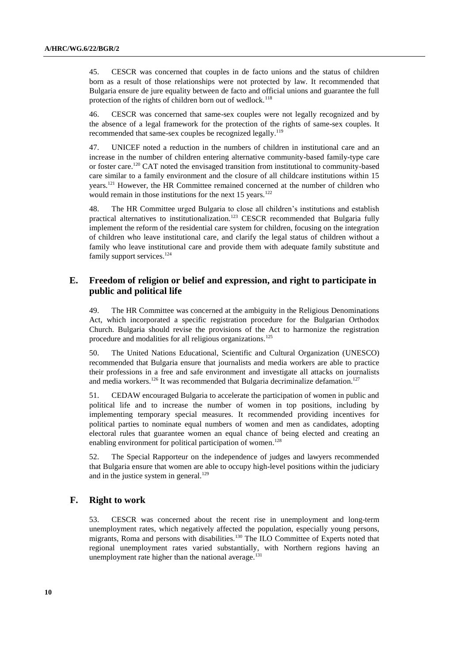45. CESCR was concerned that couples in de facto unions and the status of children born as a result of those relationships were not protected by law. It recommended that Bulgaria ensure de jure equality between de facto and official unions and guarantee the full protection of the rights of children born out of wedlock.<sup>118</sup>

46. CESCR was concerned that same-sex couples were not legally recognized and by the absence of a legal framework for the protection of the rights of same-sex couples. It recommended that same-sex couples be recognized legally.<sup>119</sup>

47. UNICEF noted a reduction in the numbers of children in institutional care and an increase in the number of children entering alternative community-based family-type care or foster care.<sup>120</sup> CAT noted the envisaged transition from institutional to community-based care similar to a family environment and the closure of all childcare institutions within 15 years.<sup>121</sup> However, the HR Committee remained concerned at the number of children who would remain in those institutions for the next  $15$  years.<sup>122</sup>

48. The HR Committee urged Bulgaria to close all children's institutions and establish practical alternatives to institutionalization.<sup>123</sup> CESCR recommended that Bulgaria fully implement the reform of the residential care system for children, focusing on the integration of children who leave institutional care, and clarify the legal status of children without a family who leave institutional care and provide them with adequate family substitute and family support services.<sup>124</sup>

## **E. Freedom of religion or belief and expression, and right to participate in public and political life**

49. The HR Committee was concerned at the ambiguity in the Religious Denominations Act, which incorporated a specific registration procedure for the Bulgarian Orthodox Church. Bulgaria should revise the provisions of the Act to harmonize the registration procedure and modalities for all religious organizations.<sup>125</sup>

50. The United Nations Educational, Scientific and Cultural Organization (UNESCO) recommended that Bulgaria ensure that journalists and media workers are able to practice their professions in a free and safe environment and investigate all attacks on journalists and media workers.<sup>126</sup> It was recommended that Bulgaria decriminalize defamation.<sup>127</sup>

51. CEDAW encouraged Bulgaria to accelerate the participation of women in public and political life and to increase the number of women in top positions, including by implementing temporary special measures. It recommended providing incentives for political parties to nominate equal numbers of women and men as candidates, adopting electoral rules that guarantee women an equal chance of being elected and creating an enabling environment for political participation of women.<sup>128</sup>

52. The Special Rapporteur on the independence of judges and lawyers recommended that Bulgaria ensure that women are able to occupy high-level positions within the judiciary and in the justice system in general.<sup>129</sup>

### **F. Right to work**

53. CESCR was concerned about the recent rise in unemployment and long-term unemployment rates, which negatively affected the population, especially young persons, migrants, Roma and persons with disabilities.<sup>130</sup> The ILO Committee of Experts noted that regional unemployment rates varied substantially, with Northern regions having an unemployment rate higher than the national average.<sup>1</sup>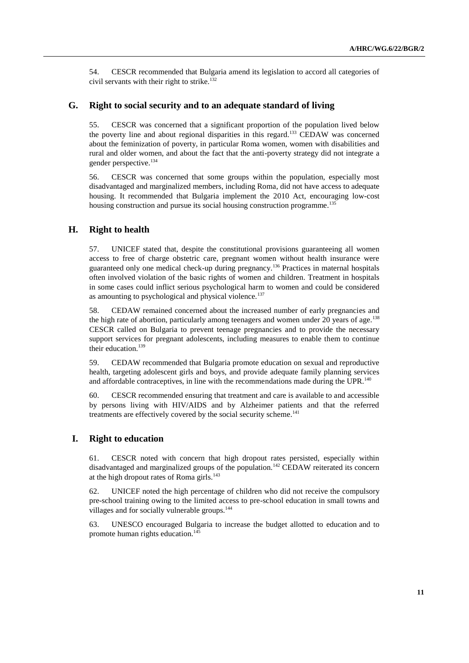54. CESCR recommended that Bulgaria amend its legislation to accord all categories of civil servants with their right to strike.<sup>132</sup>

### **G. Right to social security and to an adequate standard of living**

55. CESCR was concerned that a significant proportion of the population lived below the poverty line and about regional disparities in this regard.<sup>133</sup> CEDAW was concerned about the feminization of poverty, in particular Roma women, women with disabilities and rural and older women, and about the fact that the anti-poverty strategy did not integrate a gender perspective.<sup>134</sup>

56. CESCR was concerned that some groups within the population, especially most disadvantaged and marginalized members, including Roma, did not have access to adequate housing. It recommended that Bulgaria implement the 2010 Act, encouraging low-cost housing construction and pursue its social housing construction programme.<sup>135</sup>

#### **H. Right to health**

57. UNICEF stated that, despite the constitutional provisions guaranteeing all women access to free of charge obstetric care, pregnant women without health insurance were guaranteed only one medical check-up during pregnancy.<sup>136</sup> Practices in maternal hospitals often involved violation of the basic rights of women and children. Treatment in hospitals in some cases could inflict serious psychological harm to women and could be considered as amounting to psychological and physical violence.<sup>137</sup>

58. CEDAW remained concerned about the increased number of early pregnancies and the high rate of abortion, particularly among teenagers and women under 20 years of age.<sup>138</sup> CESCR called on Bulgaria to prevent teenage pregnancies and to provide the necessary support services for pregnant adolescents, including measures to enable them to continue their education.<sup>139</sup>

59. CEDAW recommended that Bulgaria promote education on sexual and reproductive health, targeting adolescent girls and boys, and provide adequate family planning services and affordable contraceptives, in line with the recommendations made during the UPR.<sup>140</sup>

60. CESCR recommended ensuring that treatment and care is available to and accessible by persons living with HIV/AIDS and by Alzheimer patients and that the referred treatments are effectively covered by the social security scheme.<sup>141</sup>

### **I. Right to education**

61. CESCR noted with concern that high dropout rates persisted, especially within disadvantaged and marginalized groups of the population.<sup>142</sup> CEDAW reiterated its concern at the high dropout rates of Roma girls.<sup>143</sup>

62. UNICEF noted the high percentage of children who did not receive the compulsory pre-school training owing to the limited access to pre-school education in small towns and villages and for socially vulnerable groups.<sup>144</sup>

63. UNESCO encouraged Bulgaria to increase the budget allotted to education and to promote human rights education.<sup>145</sup>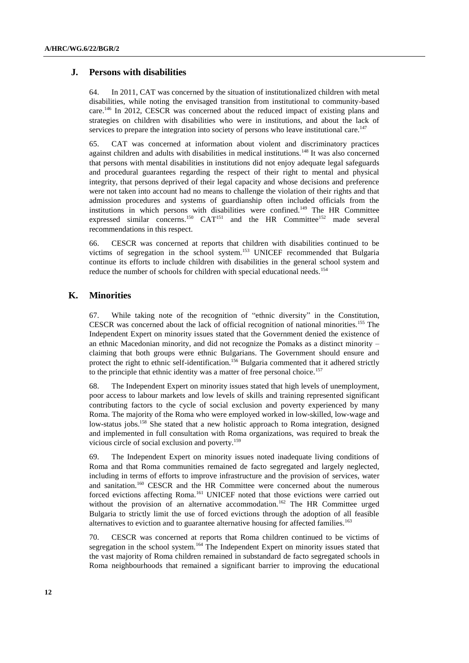#### **J. Persons with disabilities**

64. In 2011, CAT was concerned by the situation of institutionalized children with metal disabilities, while noting the envisaged transition from institutional to community-based care. <sup>146</sup> In 2012, CESCR was concerned about the reduced impact of existing plans and strategies on children with disabilities who were in institutions, and about the lack of services to prepare the integration into society of persons who leave institutional care.<sup>147</sup>

65. CAT was concerned at information about violent and discriminatory practices against children and adults with disabilities in medical institutions.<sup>148</sup> It was also concerned that persons with mental disabilities in institutions did not enjoy adequate legal safeguards and procedural guarantees regarding the respect of their right to mental and physical integrity, that persons deprived of their legal capacity and whose decisions and preference were not taken into account had no means to challenge the violation of their rights and that admission procedures and systems of guardianship often included officials from the institutions in which persons with disabilities were confined.<sup>149</sup> The HR Committee expressed similar concerns.<sup>150</sup> CAT<sup>151</sup> and the HR Committee<sup>152</sup> made several recommendations in this respect.

66. CESCR was concerned at reports that children with disabilities continued to be victims of segregation in the school system.<sup>153</sup> UNICEF recommended that Bulgaria continue its efforts to include children with disabilities in the general school system and reduce the number of schools for children with special educational needs.<sup>154</sup>

#### **K. Minorities**

67. While taking note of the recognition of "ethnic diversity" in the Constitution, CESCR was concerned about the lack of official recognition of national minorities.<sup>155</sup> The Independent Expert on minority issues stated that the Government denied the existence of an ethnic Macedonian minority, and did not recognize the Pomaks as a distinct minority – claiming that both groups were ethnic Bulgarians. The Government should ensure and protect the right to ethnic self-identification.<sup>156</sup> Bulgaria commented that it adhered strictly to the principle that ethnic identity was a matter of free personal choice.<sup>157</sup>

68. The Independent Expert on minority issues stated that high levels of unemployment, poor access to labour markets and low levels of skills and training represented significant contributing factors to the cycle of social exclusion and poverty experienced by many Roma. The majority of the Roma who were employed worked in low-skilled, low-wage and low-status jobs.<sup>158</sup> She stated that a new holistic approach to Roma integration, designed and implemented in full consultation with Roma organizations, was required to break the vicious circle of social exclusion and poverty.<sup>159</sup>

69. The Independent Expert on minority issues noted inadequate living conditions of Roma and that Roma communities remained de facto segregated and largely neglected, including in terms of efforts to improve infrastructure and the provision of services, water and sanitation.<sup>160</sup> CESCR and the HR Committee were concerned about the numerous forced evictions affecting Roma.<sup>161</sup> UNICEF noted that those evictions were carried out without the provision of an alternative accommodation.<sup>162</sup> The HR Committee urged Bulgaria to strictly limit the use of forced evictions through the adoption of all feasible alternatives to eviction and to guarantee alternative housing for affected families.<sup>163</sup>

70. CESCR was concerned at reports that Roma children continued to be victims of segregation in the school system.<sup>164</sup> The Independent Expert on minority issues stated that the vast majority of Roma children remained in substandard de facto segregated schools in Roma neighbourhoods that remained a significant barrier to improving the educational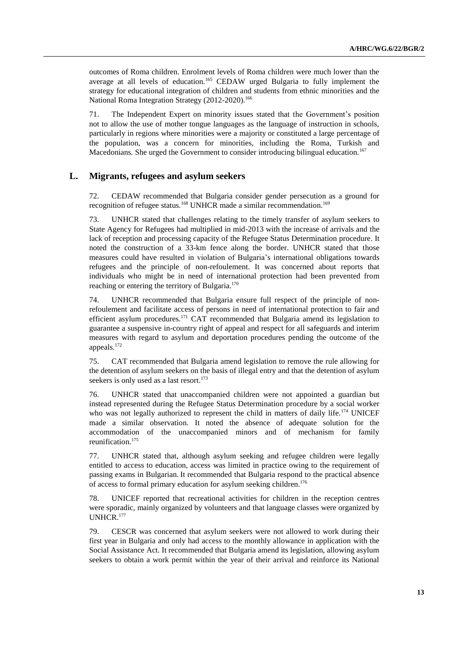outcomes of Roma children. Enrolment levels of Roma children were much lower than the average at all levels of education.<sup>165</sup> CEDAW urged Bulgaria to fully implement the strategy for educational integration of children and students from ethnic minorities and the National Roma Integration Strategy (2012-2020).<sup>166</sup>

71. The Independent Expert on minority issues stated that the Government's position not to allow the use of mother tongue languages as the language of instruction in schools, particularly in regions where minorities were a majority or constituted a large percentage of the population, was a concern for minorities, including the Roma, Turkish and Macedonians. She urged the Government to consider introducing bilingual education.<sup>167</sup>

### **L. Migrants, refugees and asylum seekers**

72. CEDAW recommended that Bulgaria consider gender persecution as a ground for recognition of refugee status.<sup>168</sup> UNHCR made a similar recommendation.<sup>169</sup>

73. UNHCR stated that challenges relating to the timely transfer of asylum seekers to State Agency for Refugees had multiplied in mid-2013 with the increase of arrivals and the lack of reception and processing capacity of the Refugee Status Determination procedure. It noted the construction of a 33-km fence along the border. UNHCR stated that those measures could have resulted in violation of Bulgaria's international obligations towards refugees and the principle of non-refoulement. It was concerned about reports that individuals who might be in need of international protection had been prevented from reaching or entering the territory of Bulgaria.<sup>170</sup>

74. UNHCR recommended that Bulgaria ensure full respect of the principle of nonrefoulement and facilitate access of persons in need of international protection to fair and efficient asylum procedures.<sup>171</sup> CAT recommended that Bulgaria amend its legislation to guarantee a suspensive in-country right of appeal and respect for all safeguards and interim measures with regard to asylum and deportation procedures pending the outcome of the appeals.<sup>172</sup>

75. CAT recommended that Bulgaria amend legislation to remove the rule allowing for the detention of asylum seekers on the basis of illegal entry and that the detention of asylum seekers is only used as a last resort.<sup>173</sup>

76. UNHCR stated that unaccompanied children were not appointed a guardian but instead represented during the Refugee Status Determination procedure by a social worker who was not legally authorized to represent the child in matters of daily life.<sup>174</sup> UNICEF made a similar observation. It noted the absence of adequate solution for the accommodation of the unaccompanied minors and of mechanism for family reunification.<sup>175</sup>

77. UNHCR stated that, although asylum seeking and refugee children were legally entitled to access to education, access was limited in practice owing to the requirement of passing exams in Bulgarian. It recommended that Bulgaria respond to the practical absence of access to formal primary education for asylum seeking children.<sup>176</sup>

78. UNICEF reported that recreational activities for children in the reception centres were sporadic, mainly organized by volunteers and that language classes were organized by UNHCR.<sup>177</sup>

79. CESCR was concerned that asylum seekers were not allowed to work during their first year in Bulgaria and only had access to the monthly allowance in application with the Social Assistance Act. It recommended that Bulgaria amend its legislation, allowing asylum seekers to obtain a work permit within the year of their arrival and reinforce its National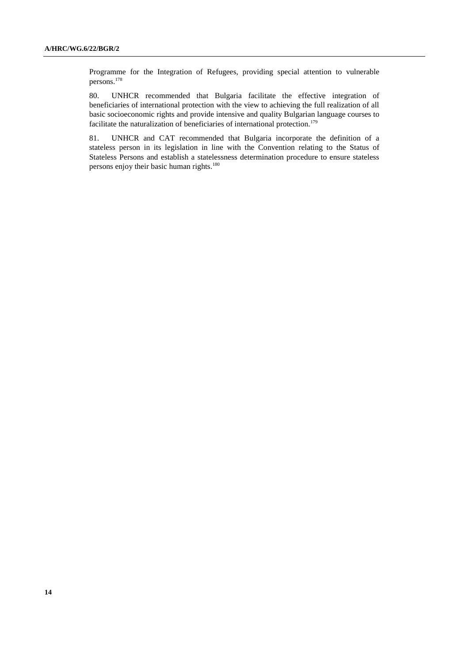Programme for the Integration of Refugees, providing special attention to vulnerable persons.<sup>178</sup>

80. UNHCR recommended that Bulgaria facilitate the effective integration of beneficiaries of international protection with the view to achieving the full realization of all basic socioeconomic rights and provide intensive and quality Bulgarian language courses to facilitate the naturalization of beneficiaries of international protection.<sup>179</sup>

81. UNHCR and CAT recommended that Bulgaria incorporate the definition of a stateless person in its legislation in line with the Convention relating to the Status of Stateless Persons and establish a statelessness determination procedure to ensure stateless persons enjoy their basic human rights.<sup>180</sup>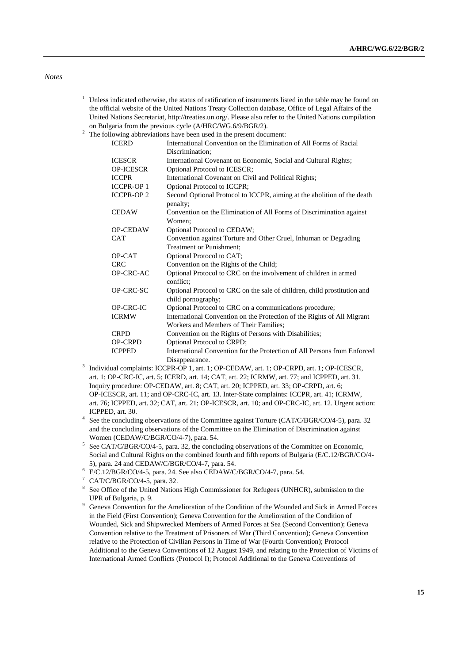#### *Notes*

- $1$  Unless indicated otherwise, the status of ratification of instruments listed in the table may be found on the official website of the United Nations Treaty Collection database, Office of Legal Affairs of the United Nations Secretariat, [http://treaties.un.org/.](http://treaties.un.org/) Please also refer to the United Nations compilation on Bulgaria from the previous cycle (A/HRC/WG.6/9/BGR/2).
- <sup>2</sup> The following abbreviations have been used in the present document:

| <b>ICERD</b>     | International Convention on the Elimination of All Forms of Racial<br>Discrimination:          |
|------------------|------------------------------------------------------------------------------------------------|
| <b>ICESCR</b>    | International Covenant on Economic, Social and Cultural Rights;                                |
| <b>OP-ICESCR</b> | Optional Protocol to ICESCR;                                                                   |
| <b>ICCPR</b>     | International Covenant on Civil and Political Rights;                                          |
| <b>ICCPR-OP1</b> | Optional Protocol to ICCPR;                                                                    |
| <b>ICCPR-OP2</b> | Second Optional Protocol to ICCPR, aiming at the abolition of the death<br>penalty:            |
| <b>CEDAW</b>     | Convention on the Elimination of All Forms of Discrimination against<br>Women:                 |
| <b>OP-CEDAW</b>  | Optional Protocol to CEDAW;                                                                    |
| <b>CAT</b>       | Convention against Torture and Other Cruel, Inhuman or Degrading                               |
|                  | Treatment or Punishment:                                                                       |
| OP-CAT           | Optional Protocol to CAT;                                                                      |
| <b>CRC</b>       | Convention on the Rights of the Child;                                                         |
| OP-CRC-AC        | Optional Protocol to CRC on the involvement of children in armed<br>conflict:                  |
| OP-CRC-SC        | Optional Protocol to CRC on the sale of children, child prostitution and<br>child pornography; |
| <b>OP-CRC-IC</b> | Optional Protocol to CRC on a communications procedure;                                        |
| <b>ICRMW</b>     | International Convention on the Protection of the Rights of All Migrant                        |
|                  | Workers and Members of Their Families;                                                         |
| <b>CRPD</b>      | Convention on the Rights of Persons with Disabilities;                                         |
| <b>OP-CRPD</b>   | Optional Protocol to CRPD;                                                                     |
| <b>ICPPED</b>    | International Convention for the Protection of All Persons from Enforced                       |
|                  | Disappearance.                                                                                 |

- Disappearance. 3 Individual complaints: ICCPR-OP 1, art. 1; OP-CEDAW, art. 1; OP-CRPD, art. 1; OP-ICESCR, art. 1; OP-CRC-IC, art. 5; ICERD, art. 14; CAT, art. 22; ICRMW, art. 77; and ICPPED, art. 31. Inquiry procedure: OP-CEDAW, art. 8; CAT, art. 20; ICPPED, art. 33; OP-CRPD, art. 6; OP-ICESCR, art. 11; and OP-CRC-IC, art. 13. Inter-State complaints: ICCPR, art. 41; ICRMW, art. 76; ICPPED, art. 32; CAT, art. 21; OP-ICESCR, art. 10; and OP-CRC-IC, art. 12. Urgent action: ICPPED, art. 30.
- <sup>4</sup> See the concluding observations of the Committee against Torture (CAT/C/BGR/CO/4-5), para. 32 and the concluding observations of the Committee on the Elimination of Discrimination against Women (CEDAW/C/BGR/CO/4-7), para. 54.
- <sup>5</sup> See CAT/C/BGR/CO/4-5, para. 32, the concluding observations of the Committee on Economic, Social and Cultural Rights on the combined fourth and fifth reports of Bulgaria (E/C.12/BGR/CO/4- 5), para. 24 and CEDAW/C/BGR/CO/4-7, para. 54.
- $6$  E/C.12/BGR/CO/4-5, para. 24. See also CEDAW/C/BGR/CO/4-7, para. 54.
- <sup>7</sup> CAT/C/BGR/CO/4-5, para. 32.
- <sup>8</sup> See Office of the United Nations High Commissioner for Refugees (UNHCR), submission to the UPR of Bulgaria, p. 9.
- <sup>9</sup> Geneva Convention for the Amelioration of the Condition of the Wounded and Sick in Armed Forces in the Field (First Convention); Geneva Convention for the Amelioration of the Condition of Wounded, Sick and Shipwrecked Members of Armed Forces at Sea (Second Convention); Geneva Convention relative to the Treatment of Prisoners of War (Third Convention); Geneva Convention relative to the Protection of Civilian Persons in Time of War (Fourth Convention); Protocol Additional to the Geneva Conventions of 12 August 1949, and relating to the Protection of Victims of International Armed Conflicts (Protocol I); Protocol Additional to the Geneva Conventions of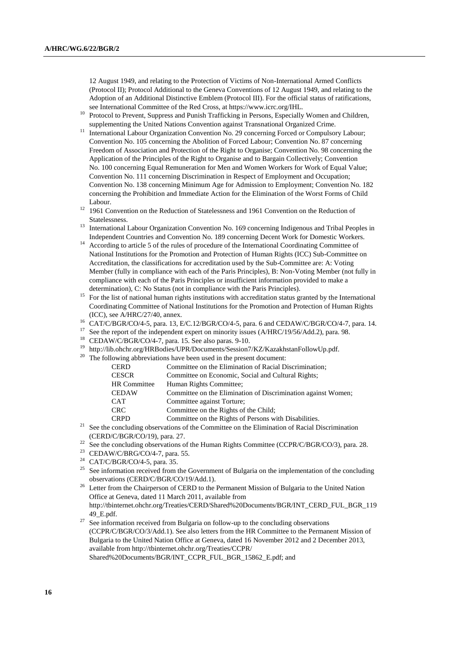12 August 1949, and relating to the Protection of Victims of Non-International Armed Conflicts (Protocol II); Protocol Additional to the Geneva Conventions of 12 August 1949, and relating to the Adoption of an Additional Distinctive Emblem (Protocol III). For the official status of ratifications, see International Committee of the Red Cross, at https://www.icrc.org/IHL.

- <sup>10</sup> Protocol to Prevent, Suppress and Punish Trafficking in Persons, Especially Women and Children, supplementing the United Nations Convention against Transnational Organized Crime.
- <sup>11</sup> International Labour Organization Convention No. 29 concerning Forced or Compulsory Labour; Convention No. 105 concerning the Abolition of Forced Labour; Convention No. 87 concerning Freedom of Association and Protection of the Right to Organise; Convention No. 98 concerning the Application of the Principles of the Right to Organise and to Bargain Collectively; Convention No. 100 concerning Equal Remuneration for Men and Women Workers for Work of Equal Value; Convention No. 111 concerning Discrimination in Respect of Employment and Occupation; Convention No. 138 concerning Minimum Age for Admission to Employment; Convention No. 182 concerning the Prohibition and Immediate Action for the Elimination of the Worst Forms of Child Labour.
- <sup>12</sup> 1961 Convention on the Reduction of Statelessness and 1961 Convention on the Reduction of Statelessness.
- <sup>13</sup> International Labour Organization Convention No. 169 concerning Indigenous and Tribal Peoples in Independent Countries and Convention No. 189 concerning Decent Work for Domestic Workers.
- <sup>14</sup> According to article 5 of the rules of procedure of the International Coordinating Committee of National Institutions for the Promotion and Protection of Human Rights (ICC) Sub-Committee on Accreditation, the classifications for accreditation used by the Sub-Committee are: A: Voting Member (fully in compliance with each of the Paris Principles), B: Non-Voting Member (not fully in compliance with each of the Paris Principles or insufficient information provided to make a determination), C: No Status (not in compliance with the Paris Principles).
- <sup>15</sup> For the list of national human rights institutions with accreditation status granted by the International Coordinating Committee of National Institutions for the Promotion and Protection of Human Rights (ICC), see A/HRC/27/40, annex.
- <sup>16</sup> CAT/C/BGR/CO/4-5, para. 13, E/C.12/BGR/CO/4-5, para. 6 and CEDAW/C/BGR/CO/4-7, para. 14.
- See the report of the independent expert on minority issues (A/HRC/19/56/Add.2), para. 98.
- $18$  CEDAW/C/BGR/CO/4-7, para. 15. See also paras. 9-10.
- <sup>19</sup> http://lib.ohchr.org/HRBodies/UPR/Documents/Session7/KZ/KazakhstanFollowUp.pdf.
- <sup>20</sup> The following abbreviations have been used in the present document:

| <b>CERD</b>  | Committee on the Elimination of Racial Discrimination:        |
|--------------|---------------------------------------------------------------|
| <b>CESCR</b> | Committee on Economic, Social and Cultural Rights;            |
| HR Committee | Human Rights Committee;                                       |
| <b>CEDAW</b> | Committee on the Elimination of Discrimination against Women; |
| <b>CAT</b>   | Committee against Torture;                                    |
| <b>CRC</b>   | Committee on the Rights of the Child:                         |
| <b>CRPD</b>  | Committee on the Rights of Persons with Disabilities.         |
|              |                                                               |

- <sup>21</sup> See the concluding observations of the Committee on the Elimination of Racial Discrimination (CERD/C/BGR/CO/19), para. 27.
- <sup>22</sup> See the concluding observations of the Human Rights Committee (CCPR/C/BGR/CO/3), para. 28.
- <sup>23</sup> CEDAW/C/BRG/CO/4-7, para. 55.
- <sup>24</sup> CAT/C/BGR/CO/4-5, para. 35.
- <sup>25</sup> See information received from the Government of Bulgaria on the implementation of the concluding observations (CERD/C/BGR/CO/19/Add.1).
- <sup>26</sup> Letter from the Chairperson of CERD to the Permanent Mission of Bulgaria to the United Nation Office at Geneva, dated 11 March 2011, available from [http://tbinternet.ohchr.org/Treaties/CERD/Shared%20Documents/BGR/INT\\_CERD\\_FUL\\_BGR\\_119](http://tbinternet.ohchr.org/Treaties/CERD/Shared%20Documents/BGR/INT_CERD_FUL_BGR_11949_E.pdf) [49\\_E.pdf.](http://tbinternet.ohchr.org/Treaties/CERD/Shared%20Documents/BGR/INT_CERD_FUL_BGR_11949_E.pdf)
- $27$  See information received from Bulgaria on follow-up to the concluding observations (CCPR/C/BGR/CO/3/Add.1). See also letters from the HR Committee to the Permanent Mission of Bulgaria to the United Nation Office at Geneva, dated 16 November 2012 and 2 December 2013, available from http://tbinternet.ohchr.org/Treaties/CCPR/ Shared%20Documents/BGR/INT\_CCPR\_FUL\_BGR\_15862\_E.pdf; and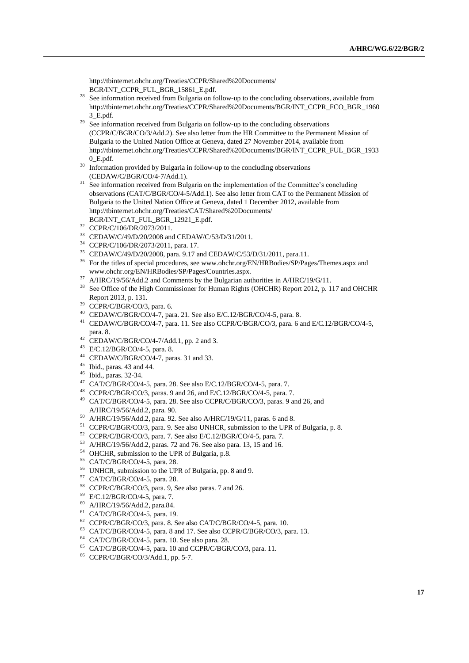[http://tbinternet.ohchr.org/Treaties/CCPR/Shared%20Documents/](http://tbinternet.ohchr.org/Treaties/CCPR/Shared%20Documents/%0bBGR/INT_CCPR_FUL_BGR_15861_E.pdf) [BGR/INT\\_CCPR\\_FUL\\_BGR\\_15861\\_E.pdf.](http://tbinternet.ohchr.org/Treaties/CCPR/Shared%20Documents/%0bBGR/INT_CCPR_FUL_BGR_15861_E.pdf) 

- <sup>28</sup> See information received from Bulgaria on follow-up to the concluding observations, available from [http://tbinternet.ohchr.org/Treaties/CCPR/Shared%20Documents/BGR/INT\\_CCPR\\_FCO\\_BGR\\_1960](http://tbinternet.ohchr.org/Treaties/CCPR/Shared%20Documents/BGR/INT_CCPR_FCO_BGR_19603_E.pdf) [3\\_E.pdf.](http://tbinternet.ohchr.org/Treaties/CCPR/Shared%20Documents/BGR/INT_CCPR_FCO_BGR_19603_E.pdf)
- $29$  See information received from Bulgaria on follow-up to the concluding observations (CCPR/C/BGR/CO/3/Add.2). See also letter from the HR Committee to the Permanent Mission of Bulgaria to the United Nation Office at Geneva, dated 27 November 2014, available from http://tbinternet.ohchr.org/Treaties/CCPR/Shared%20Documents/BGR/INT\_CCPR\_FUL\_BGR\_1933 0\_E.pdf.
- <sup>30</sup> Information provided by Bulgaria in follow-up to the concluding observations (CEDAW/C/BGR/CO/4-7/Add.1).
- <sup>31</sup> See information received from Bulgaria on the implementation of the Committee's concluding observations (CAT/C/BGR/CO/4-5/Add.1). See also letter from CAT to the Permanent Mission of Bulgaria to the United Nation Office at Geneva, dated 1 December 2012, available from [http://tbinternet.ohchr.org/Treaties/CAT/Shared%20Documents/](http://tbinternet.ohchr.org/Treaties/CAT/Shared%20Documents/%0bBGR/INT_CAT_FUL_BGR_12921_E.pdf) [BGR/INT\\_CAT\\_FUL\\_BGR\\_12921\\_E.pdf.](http://tbinternet.ohchr.org/Treaties/CAT/Shared%20Documents/%0bBGR/INT_CAT_FUL_BGR_12921_E.pdf)
- <sup>32</sup> CCPR/C/106/DR/2073/2011.
- <sup>33</sup> CEDAW/C/49/D/20/2008 and CEDAW/C/53/D/31/2011.
- <sup>34</sup> CCPR/C/106/DR/2073/2011, para. 17.
- <sup>35</sup> CEDAW/C/49/D/20/2008, para. 9.17 and CEDAW/C/53/D/31/2011, para.11.
- <sup>36</sup> For the titles of special procedures, see www.ohchr.org/EN/HRBodies/SP/Pages/Themes.aspx and www.ohchr.org/EN/HRBodies/SP/Pages/Countries.aspx.
- <sup>37</sup> A/HRC/19/56/Add.2 and Comments by the Bulgarian authorities in A/HRC/19/G/11.
- <sup>38</sup> See Office of the High Commissioner for Human Rights (OHCHR) Report 2012, p. 117 and OHCHR Report 2013, p. 131.
- <sup>39</sup> CCPR/C/BGR/CO/3, para. 6.
- <sup>40</sup> CEDAW/C/BGR/CO/4-7, para. 21. See also E/C.12/BGR/CO/4-5, para. 8.
- <sup>41</sup> CEDAW/C/BGR/CO/4-7, para. 11. See also CCPR/C/BGR/CO/3, para. 6 and E/C.12/BGR/CO/4-5, para. 8.
- $42$  CEDAW/C/BGR/CO/4-7/Add.1, pp. 2 and 3.
- <sup>43</sup> E/C.12/BGR/CO/4-5, para. 8.
- <sup>44</sup> CEDAW/C/BGR/CO/4-7, paras. 31 and 33.
- $45$  Ibid., paras. 43 and 44.
- <sup>46</sup> Ibid., paras. 32-34.
- <sup>47</sup> CAT/C/BGR/CO/4-5, para. 28. See also E/C.12/BGR/CO/4-5, para. 7.
- <sup>48</sup> CCPR/C/BGR/CO/3, paras. 9 and 26, and E/C.12/BGR/CO/4-5, para. 7.
- <sup>49</sup> CAT/C/BGR/CO/4-5, para. 28. See also CCPR/C/BGR/CO/3, paras. 9 and 26, and A/HRC/19/56/Add.2, para. 90.
- <sup>50</sup> A/HRC/19/56/Add.2, para. 92. See also A/HRC/19/G/11, paras. 6 and 8.
- <sup>51</sup> CCPR/C/BGR/CO/3, para. 9. See also UNHCR, submission to the UPR of Bulgaria, p. 8.
- <sup>52</sup> CCPR/C/BGR/CO/3, para. 7. See also E/C.12/BGR/CO/4-5, para. 7.
- <sup>53</sup> A/HRC/19/56/Add.2, paras. 72 and 76. See also para. 13, 15 and 16.
- <sup>54</sup> OHCHR, submission to the UPR of Bulgaria, p.8.
- <sup>55</sup> CAT/C/BGR/CO/4-5, para. 28.
- <sup>56</sup> UNHCR, submission to the UPR of Bulgaria, pp. 8 and 9.
- <sup>57</sup> CAT/C/BGR/CO/4-5, para. 28.
- <sup>58</sup> CCPR/C/BGR/CO/3, para. 9, See also paras. 7 and 26.
- <sup>59</sup> E/C.12/BGR/CO/4-5, para. 7.
- <sup>60</sup> A/HRC/19/56/Add.2, para.84.
- <sup>61</sup> CAT/C/BGR/CO/4-5, para. 19.
- <sup>62</sup> CCPR/C/BGR/CO/3, para. 8. See also CAT/C/BGR/CO/4-5, para. 10.
- <sup>63</sup> CAT/C/BGR/CO/4-5, para. 8 and 17. See also CCPR/C/BGR/CO/3, para. 13.
- <sup>64</sup> CAT/C/BGR/CO/4-5, para. 10. See also para. 28.
- <sup>65</sup> CAT/C/BGR/CO/4-5, para. 10 and CCPR/C/BGR/CO/3, para. 11.
- <sup>66</sup> CCPR/C/BGR/CO/3/Add.1, pp. 5-7.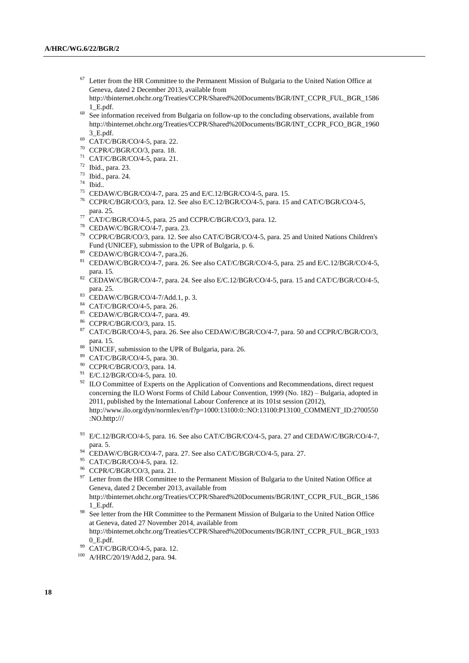Letter from the HR Committee to the Permanent Mission of Bulgaria to the United Nation Office at Geneva, dated 2 December 2013, available from

[http://tbinternet.ohchr.org/Treaties/CCPR/Shared%20Documents/BGR/INT\\_CCPR\\_FUL\\_BGR\\_1586](http://tbinternet.ohchr.org/Treaties/CCPR/Shared%20Documents/BGR/INT_CCPR_FUL_BGR_15861_E.pdf) [1\\_E.pdf.](http://tbinternet.ohchr.org/Treaties/CCPR/Shared%20Documents/BGR/INT_CCPR_FUL_BGR_15861_E.pdf)

- <sup>68</sup> See information received from Bulgaria on follow-up to the concluding observations, available from http://tbinternet.ohchr.org/Treaties/CCPR/Shared%20Documents/BGR/INT\_CCPR\_FCO\_BGR\_1960 3\_E.pdf.
- <sup>69</sup> CAT/C/BGR/CO/4-5, para. 22.
- <sup>70</sup> CCPR/C/BGR/CO/3, para. 18.
- <sup>71</sup> CAT/C/BGR/CO/4-5, para. 21.
- <sup>72</sup> Ibid., para. 23.
- <sup>73</sup> Ibid., para. 24.
- <sup>74</sup> Ibid..
- <sup>75</sup> CEDAW/C/BGR/CO/4-7, para. 25 and E/C.12/BGR/CO/4-5, para. 15.
- <sup>76</sup> CCPR/C/BGR/CO/3, para. 12. See also E/C.12/BGR/CO/4-5, para. 15 and CAT/C/BGR/CO/4-5, para. 25.
- <sup>77</sup> CAT/C/BGR/CO/4-5, para. 25 and CCPR/C/BGR/CO/3, para. 12.
- <sup>78</sup> CEDAW/C/BGR/CO/4-7, para. 23.
- <sup>79</sup> CCPR/C/BGR/CO/3, para. 12. See also CAT/C/BGR/CO/4-5, para. 25 and United Nations Children's Fund (UNICEF), submission to the UPR of Bulgaria, p. 6.
- <sup>80</sup> CEDAW/C/BGR/CO/4-7, para.26.
- <sup>81</sup> CEDAW/C/BGR/CO/4-7, para. 26. See also CAT/C/BGR/CO/4-5, para. 25 and E/C.12/BGR/CO/4-5, para. 15.
- <sup>82</sup> CEDAW/C/BGR/CO/4-7, para. 24. See also E/C.12/BGR/CO/4-5, para. 15 and CAT/C/BGR/CO/4-5, para. 25.
- <sup>83</sup> CEDAW/C/BGR/CO/4-7/Add.1, p. 3.
- <sup>84</sup> CAT/C/BGR/CO/4-5, para. 26.
- <sup>85</sup> CEDAW/C/BGR/CO/4-7, para. 49.
- <sup>86</sup> CCPR/C/BGR/CO/3, para. 15.
- <sup>87</sup> CAT/C/BGR/CO/4-5, para. 26. See also CEDAW/C/BGR/CO/4-7, para. 50 and CCPR/C/BGR/CO/3, para. 15.
- 88 UNICEF, submission to the UPR of Bulgaria, para. 26.
- <sup>89</sup> CAT/C/BGR/CO/4-5, para. 30.
- <sup>90</sup> CCPR/C/BGR/CO/3, para. 14.
- <sup>91</sup> E/C.12/BGR/CO/4-5, para. 10.
- <sup>92</sup> ILO Committee of Experts on the Application of Conventions and Recommendations, direct request concerning the ILO Worst Forms of Child Labour Convention, 1999 (No. 182) – Bulgaria, adopted in 2011, published by the International Labour Conference at its 101st session (2012), http://www.ilo.org/dyn/normlex/en/f?p=1000:13100:0::NO:13100:P13100\_COMMENT\_ID:2700550 :NO.[http:///](http://)
- <sup>93</sup> E/C.12/BGR/CO/4-5, para. 16. See also CAT/C/BGR/CO/4-5, para. 27 and CEDAW/C/BGR/CO/4-7, para. 5.
- <sup>94</sup> CEDAW/C/BGR/CO/4-7, para. 27. See also CAT/C/BGR/CO/4-5, para. 27.
- <sup>95</sup> CAT/C/BGR/CO/4-5, para. 12.
- <sup>96</sup> CCPR/C/BGR/CO/3, para. 21.
- <sup>97</sup> Letter from the HR Committee to the Permanent Mission of Bulgaria to the United Nation Office at Geneva, dated 2 December 2013, available from [http://tbinternet.ohchr.org/Treaties/CCPR/Shared%20Documents/BGR/INT\\_CCPR\\_FUL\\_BGR\\_1586](http://tbinternet.ohchr.org/Treaties/CCPR/Shared%20Documents/BGR/INT_CCPR_FUL_BGR_15861_E.pdf)

[1\\_E.pdf.](http://tbinternet.ohchr.org/Treaties/CCPR/Shared%20Documents/BGR/INT_CCPR_FUL_BGR_15861_E.pdf)

See letter from the HR Committee to the Permanent Mission of Bulgaria to the United Nation Office at Geneva, dated 27 November 2014, available from http://tbinternet.ohchr.org/Treaties/CCPR/Shared%20Documents/BGR/INT\_CCPR\_FUL\_BGR\_1933 0\_E.pdf.

<sup>99</sup> CAT/C/BGR/CO/4-5, para. 12.

<sup>100</sup> A/HRC/20/19/Add.2, para. 94.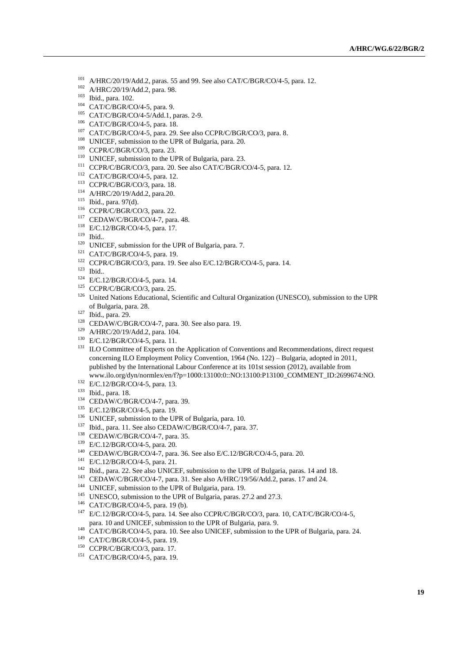- A/HRC/20/19/Add.2, paras. 55 and 99. See also CAT/C/BGR/CO/4-5, para. 12.
- A/HRC/20/19/Add.2, para. 98.
- Ibid., para. 102.
- CAT/C/BGR/CO/4-5, para. 9.
- CAT/C/BGR/CO/4-5/Add.1, paras. 2-9.
- CAT/C/BGR/CO/4-5, para. 18.
- <sup>107</sup> CAT/C/BGR/CO/4-5, para. 29. See also CCPR/C/BGR/CO/3, para. 8.
- <sup>108</sup> UNICEF, submission to the UPR of Bulgaria, para. 20.
- CCPR/C/BGR/CO/3, para. 23.
- <sup>110</sup> UNICEF, submission to the UPR of Bulgaria, para. 23.
- CCPR/C/BGR/CO/3, para. 20. See also CAT/C/BGR/CO/4-5, para. 12.
- CAT/C/BGR/CO/4-5, para. 12.
- CCPR/C/BGR/CO/3, para. 18.
- A/HRC/20/19/Add.2, para.20.
- Ibid., para. 97(d).
- CCPR/C/BGR/CO/3, para. 22.
- CEDAW/C/BGR/CO/4-7, para. 48.
- E/C.12/BGR/CO/4-5, para. 17.
- Ibid..
- <sup>120</sup> UNICEF, submission for the UPR of Bulgaria, para. 7.
- CAT/C/BGR/CO/4-5, para. 19.
- CCPR/C/BGR/CO/3, para. 19. See also E/C.12/BGR/CO/4-5, para. 14.
- Ibid..
- E/C.12/BGR/CO/4-5, para. 14.
- <sup>125</sup> CCPR/C/BGR/CO/3, para. 25.
- <sup>126</sup> United Nations Educational, Scientific and Cultural Organization (UNESCO), submission to the UPR of Bulgaria, para. 28.
- Ibid., para. 29.
- CEDAW/C/BGR/CO/4-7, para. 30. See also para. 19.
- A/HRC/20/19/Add.2, para. 104.
- E/C.12/BGR/CO/4-5, para. 11.
- <sup>131</sup> ILO Committee of Experts on the Application of Conventions and Recommendations, direct request concerning ILO Employment Policy Convention, 1964 (No. 122) – Bulgaria, adopted in 2011, published by the International Labour Conference at its 101st session (2012), available from www.ilo.org/dyn/normlex/en/f?p=1000:13100:0::NO:13100:P13100\_COMMENT\_ID:2699674:NO.
- <sup>132</sup> E/C.12/BGR/CO/4-5, para. 13.
- Ibid., para. 18.
- CEDAW/C/BGR/CO/4-7, para. 39.
- E/C.12/BGR/CO/4-5, para. 19.
- <sup>136</sup> UNICEF, submission to the UPR of Bulgaria, para. 10.
- <sup>137</sup> Ibid., para. 11. See also CEDAW/C/BGR/CO/4-7, para. 37.
- CEDAW/C/BGR/CO/4-7, para. 35.
- E/C.12/BGR/CO/4-5, para. 20.
- CEDAW/C/BGR/CO/4-7, para. 36. See also E/C.12/BGR/CO/4-5, para. 20.
- E/C.12/BGR/CO/4-5, para. 21.
- Ibid., para. 22. See also UNICEF, submission to the UPR of Bulgaria, paras. 14 and 18.
- CEDAW/C/BGR/CO/4-7, para. 31. See also A/HRC/19/56/Add.2, paras. 17 and 24.
- <sup>144</sup> UNICEF, submission to the UPR of Bulgaria, para. 19.
- <sup>145</sup> UNESCO, submission to the UPR of Bulgaria, paras. 27.2 and 27.3.
- CAT/C/BGR/CO/4-5, para. 19 (b).
- E/C.12/BGR/CO/4-5, para. 14. See also CCPR/C/BGR/CO/3, para. 10, CAT/C/BGR/CO/4-5, para. 10 and UNICEF, submission to the UPR of Bulgaria, para. 9.
- <sup>148</sup> CAT/C/BGR/CO/4-5, para. 10. See also UNICEF, submission to the UPR of Bulgaria, para. 24.
- CAT/C/BGR/CO/4-5, para. 19.
- CCPR/C/BGR/CO/3, para. 17.
- CAT/C/BGR/CO/4-5, para. 19.